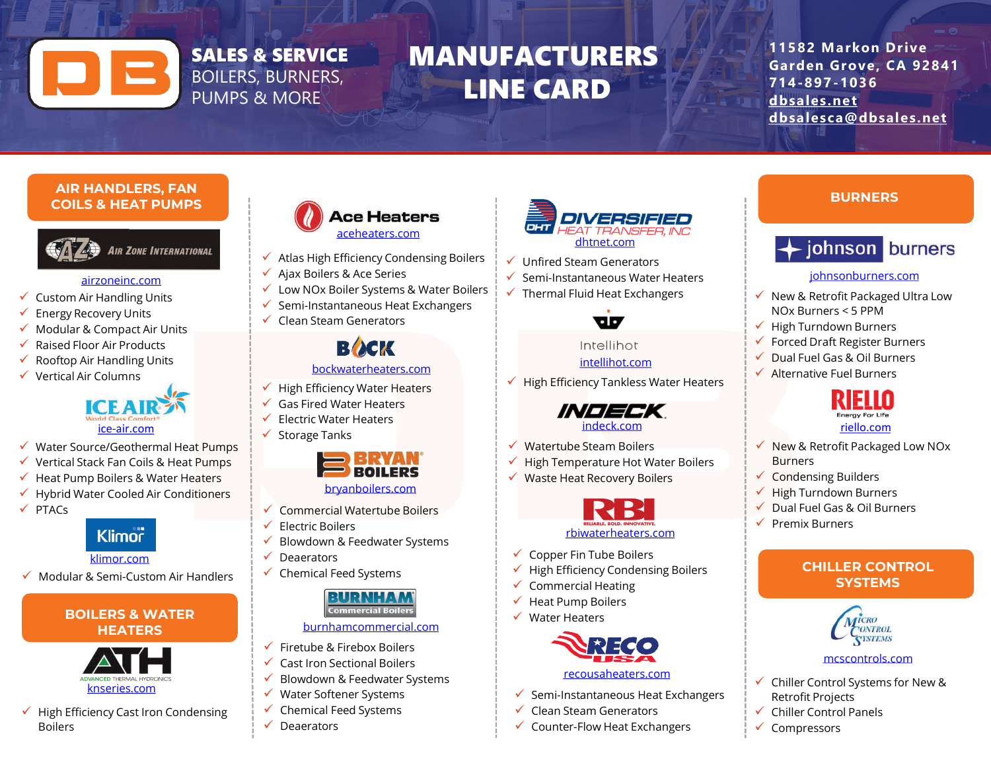# SALES & SERVICE BOILERS, BURNERS, PUMPS & MORE

# MANUFACTURERS LINE CARD

**11582 Markon Drive Garden Grove, CA 92841 714-897-1036 [dbsales.net](http://www.dbsales.net/) [dbsalesca@dbsales.net](mailto:dbsalesca@dbsales.net)**

#### **AIR HANDLERS, FAN COILS & HEAT PUMPS**



#### [airzoneinc.com](http://www.airzoneinc.com/)

- $\checkmark$  Custom Air Handling Units
- $\checkmark$  Energy Recovery Units
- $\checkmark$  Modular & Compact Air Units
- Raised Floor Air Products
- Rooftop Air Handling Units
- Vertical Air Columns



- Water Source/Geothermal Heat Pumps
- $\checkmark$  Vertical Stack Fan Coils & Heat Pumps
- Heat Pump Boilers & Water Heaters
- Hybrid Water Cooled Air Conditioners
- $\checkmark$  PTACs

# **Klimor**

#### [klimor.com](http://www.klimor.com/)

 $\checkmark$  Modular & Semi-Custom Air Handlers

# **BOILERS & WATER HEATERS**



#### $\checkmark$  High Efficiency Cast Iron Condensing Boilers



- $\checkmark$  Atlas High Efficiency Condensing Boilers
- $\checkmark$  Ajax Boilers & Ace Series
- Low NOx Boiler Systems & Water Boilers
- $\checkmark$  Semi-Instantaneous Heat Exchangers
- $\checkmark$  Clean Steam Generators

# **BACK**

# [bockwaterheaters.com](http://www.knseries.com/)

- $\checkmark$  High Efficiency Water Heaters
- Gas Fired Water Heaters
	- Electric Water Heaters
- $\checkmark$  Storage Tanks



#### [bryanboilers.com](http://www.bryanboilers.com/)

- Commercial Watertube Boilers
- $\checkmark$  Electric Boilers
- Blowdown & Feedwater Systems
- $\checkmark$  Deaerators
- $\checkmark$  Chemical Feed Systems

# **Commercial Boiler**

#### [burnhamcommercial.com](http://www.burnhamcommercial.com/)

- $\checkmark$  Firetube & Firebox Boilers
- $\checkmark$  Cast Iron Sectional Boilers
- $\checkmark$  Blowdown & Feedwater Systems
- $\checkmark$  Water Softener Systems
- $\checkmark$  Chemical Feed Systems
- $\sqrt{ }$  Deaerators



- $\checkmark$  Unfired Steam Generators
- $\checkmark$  Semi-Instantaneous Water Heaters
- $\checkmark$  Thermal Fluid Heat Exchangers

# W

#### Intellihot intellihot.com

 $\checkmark$  High Efficiency Tankless Water Heaters



- $\checkmark$  Watertube Steam Boilers
- $\checkmark$  High Temperature Hot Water Boilers
- Waste Heat Recovery Boilers



- $\checkmark$  Copper Fin Tube Boilers
- $\checkmark$  High Efficiency Condensing Boilers
- $\checkmark$  Commercial Heating
- $\checkmark$  Heat Pump Boilers
- $\checkmark$  Water Heaters



#### [recousaheaters.com](http://www.recousaheaters.com/)

- $\checkmark$  Semi-Instantaneous Heat Exchangers
- $\checkmark$  Clean Steam Generators
- $\checkmark$  Counter-Flow Heat Exchangers

## **BURNERS**



## [johnsonburners.com](http://www.johnsonburners.com/)

- $\checkmark$  New & Retrofit Packaged Ultra Low NOx Burners < 5 PPM
- $\checkmark$  High Turndown Burners
- $\checkmark$  Forced Draft Register Burners
- $\checkmark$  Dual Fuel Gas & Oil Burners
- $\checkmark$  Alternative Fuel Burners



- $\checkmark$  New & Retrofit Packaged Low NO<sub>x</sub> Burners
- $\checkmark$  Condensing Builders
- $\checkmark$  High Turndown Burners
- Dual Fuel Gas & Oil Burners
- $\sqrt{ }$  Premix Burners

# **CHILLER CONTROL SYSTEMS**



#### [mcscontrols.com](http://www.mcscontrols.com/)

- $\checkmark$  Chiller Control Systems for New & Retrofit Projects
- $\checkmark$  Chiller Control Panels
- $\checkmark$  Compressors